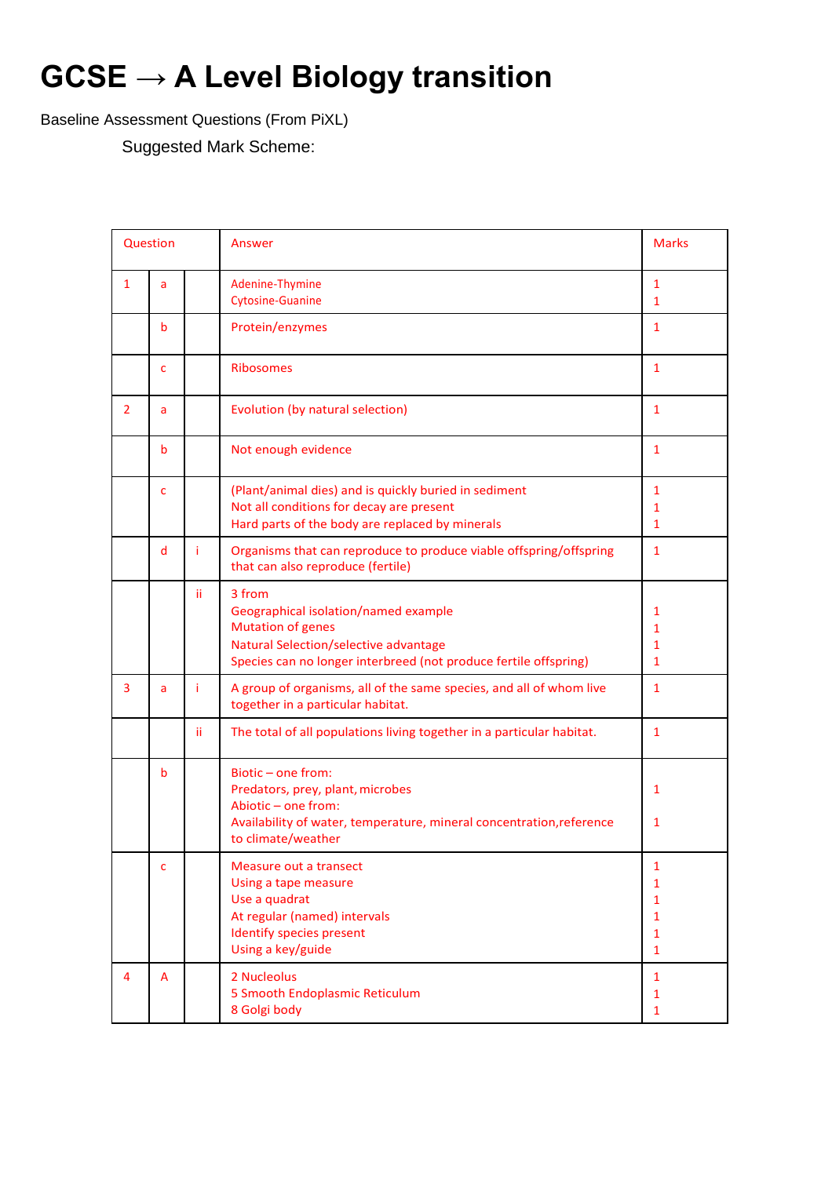# **GCSE → A Level Biology transition**

Baseline Assessment Questions (From PiXL)

Suggested Mark Scheme:

| Question       |                                       |     | Answer                                                                                                                                                                                         | <b>Marks</b>                                                           |
|----------------|---------------------------------------|-----|------------------------------------------------------------------------------------------------------------------------------------------------------------------------------------------------|------------------------------------------------------------------------|
| $\mathbf{1}$   | a                                     |     | Adenine-Thymine<br><b>Cytosine-Guanine</b>                                                                                                                                                     | $\mathbf{1}$<br>1                                                      |
|                | b                                     |     | Protein/enzymes                                                                                                                                                                                | $\mathbf{1}$                                                           |
|                | $\mathsf{C}$                          |     | <b>Ribosomes</b>                                                                                                                                                                               | $\mathbf{1}$                                                           |
| $\overline{2}$ | Evolution (by natural selection)<br>a |     | $\mathbf{1}$                                                                                                                                                                                   |                                                                        |
|                | b                                     |     | Not enough evidence                                                                                                                                                                            | 1                                                                      |
|                | $\mathsf{C}$                          |     | (Plant/animal dies) and is quickly buried in sediment<br>Not all conditions for decay are present<br>Hard parts of the body are replaced by minerals                                           | $\mathbf{1}$<br>1<br>$\mathbf{1}$                                      |
|                | d                                     | Ť.  | Organisms that can reproduce to produce viable offspring/offspring<br>that can also reproduce (fertile)                                                                                        | 1                                                                      |
|                |                                       | ii. | 3 from<br>Geographical isolation/named example<br><b>Mutation of genes</b><br><b>Natural Selection/selective advantage</b><br>Species can no longer interbreed (not produce fertile offspring) | 1<br>1<br>1<br>1                                                       |
| 3              | a                                     | Ť   | A group of organisms, all of the same species, and all of whom live<br>together in a particular habitat.                                                                                       | $\mathbf{1}$                                                           |
|                |                                       | ii. | The total of all populations living together in a particular habitat.                                                                                                                          | 1                                                                      |
|                | b                                     |     | Biotic-one from:<br>Predators, prey, plant, microbes<br>Abiotic - one from:<br>Availability of water, temperature, mineral concentration, reference<br>to climate/weather                      | 1<br>1                                                                 |
|                | C                                     |     | Measure out a transect<br>Using a tape measure<br>Use a quadrat<br>At regular (named) intervals<br>Identify species present<br>Using a key/guide                                               | 1<br>1<br>$\mathbf{1}$<br>$\mathbf{1}$<br>$\mathbf{1}$<br>$\mathbf{1}$ |
| 4              | A                                     |     | 2 Nucleolus<br>5 Smooth Endoplasmic Reticulum<br>8 Golgi body                                                                                                                                  | $\mathbf{1}$<br>$\mathbf{1}$<br>$\mathbf{1}$                           |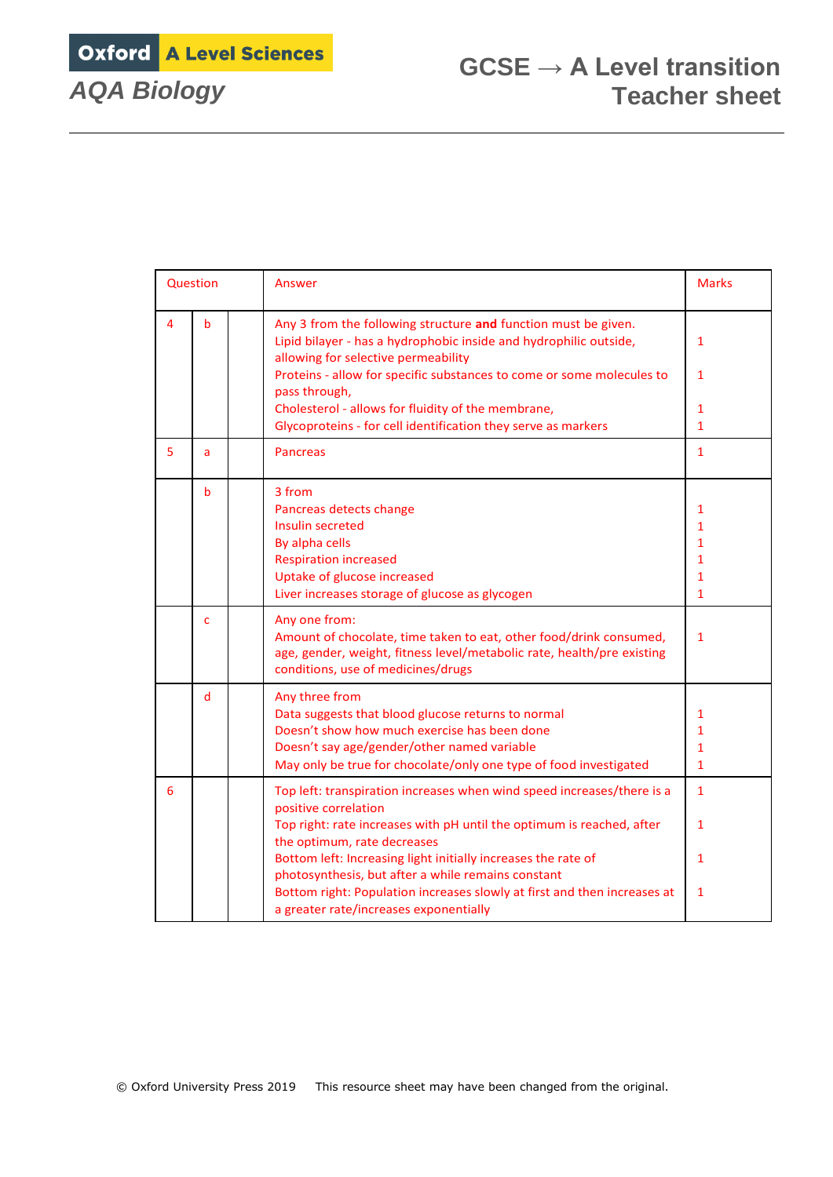Oxford A Level Sciences

| Question |                      |  | Answer                                                                                                                                                                                              | <b>Marks</b> |
|----------|----------------------|--|-----------------------------------------------------------------------------------------------------------------------------------------------------------------------------------------------------|--------------|
| 4        | b                    |  | Any 3 from the following structure and function must be given.<br>Lipid bilayer - has a hydrophobic inside and hydrophilic outside,<br>allowing for selective permeability                          | $\mathbf{1}$ |
|          |                      |  | Proteins - allow for specific substances to come or some molecules to<br>pass through,                                                                                                              | $\mathbf{1}$ |
|          |                      |  | Cholesterol - allows for fluidity of the membrane,                                                                                                                                                  | $\mathbf{1}$ |
|          |                      |  | Glycoproteins - for cell identification they serve as markers                                                                                                                                       | $\mathbf{1}$ |
| 5.       | <b>Pancreas</b><br>a |  | $\mathbf{1}$                                                                                                                                                                                        |              |
|          | b                    |  | 3 from                                                                                                                                                                                              |              |
|          |                      |  | Pancreas detects change                                                                                                                                                                             | 1            |
|          |                      |  | Insulin secreted                                                                                                                                                                                    | 1            |
|          |                      |  | By alpha cells                                                                                                                                                                                      | 1            |
|          |                      |  | <b>Respiration increased</b>                                                                                                                                                                        | $\mathbf{1}$ |
|          |                      |  | Uptake of glucose increased                                                                                                                                                                         | 1            |
|          |                      |  | Liver increases storage of glucose as glycogen                                                                                                                                                      | $\mathbf{1}$ |
|          | c                    |  | Any one from:<br>Amount of chocolate, time taken to eat, other food/drink consumed,<br>age, gender, weight, fitness level/metabolic rate, health/pre existing<br>conditions, use of medicines/drugs | $\mathbf{1}$ |
|          | d                    |  | Any three from                                                                                                                                                                                      |              |
|          |                      |  | Data suggests that blood glucose returns to normal                                                                                                                                                  | 1            |
|          |                      |  | Doesn't show how much exercise has been done                                                                                                                                                        | $\mathbf{1}$ |
|          |                      |  | Doesn't say age/gender/other named variable                                                                                                                                                         | $\mathbf{1}$ |
|          |                      |  | May only be true for chocolate/only one type of food investigated                                                                                                                                   | $\mathbf{1}$ |
| 6        |                      |  | Top left: transpiration increases when wind speed increases/there is a<br>positive correlation                                                                                                      | $\mathbf{1}$ |
|          |                      |  | Top right: rate increases with pH until the optimum is reached, after<br>the optimum, rate decreases                                                                                                | $\mathbf{1}$ |
|          |                      |  | Bottom left: Increasing light initially increases the rate of<br>photosynthesis, but after a while remains constant                                                                                 | $\mathbf{1}$ |
|          |                      |  | Bottom right: Population increases slowly at first and then increases at<br>a greater rate/increases exponentially                                                                                  | $\mathbf{1}$ |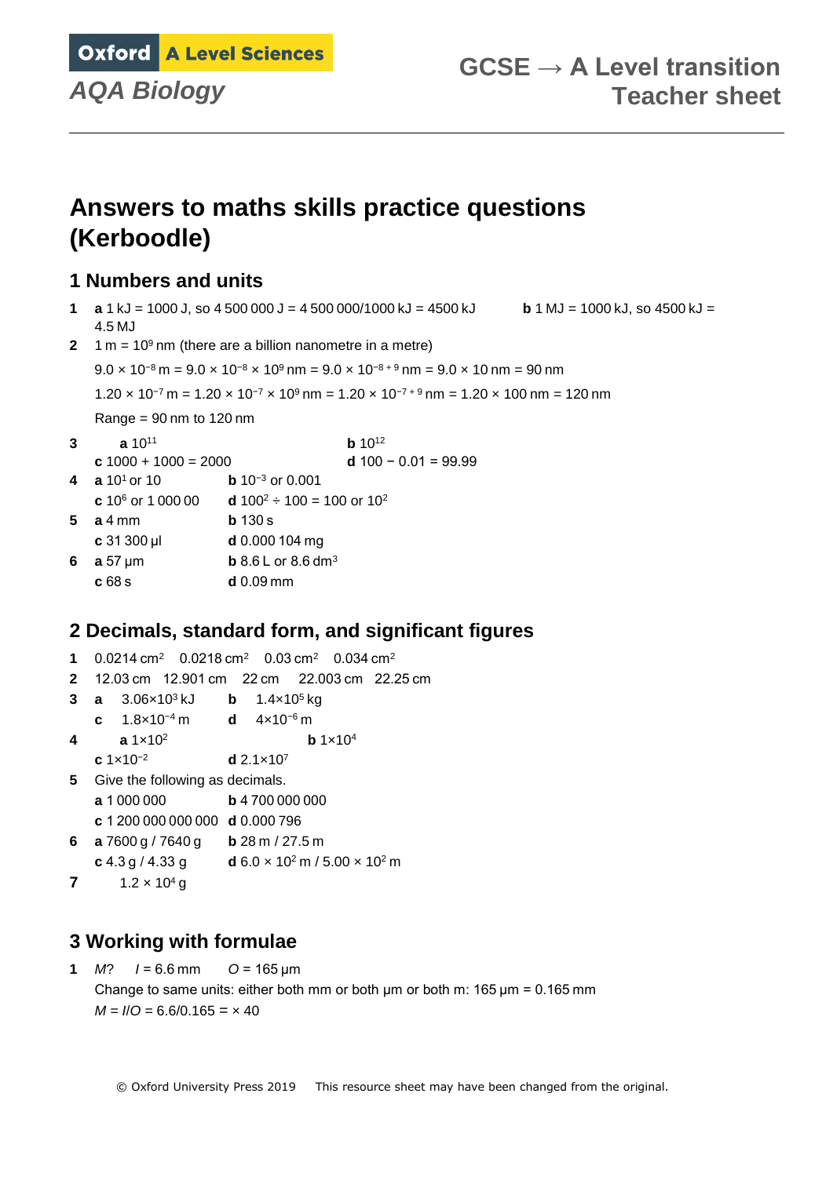**Oxford A Level Sciences** 

## **Answers to maths skills practice questions (Kerboodle)**

### **1 Numbers and units**

- **1 a** 1 kJ = 1000 J, so 4 500 000 J = 4 500 000/1000 kJ = 4500 kJ **b** 1 MJ = 1000 kJ, so 4500 kJ = 4.5 MJ
- **2** 1 m =  $10^9$  nm (there are a billion nanometre in a metre)

```
9.0 \times 10^{-8} m = 9.0 \times 10^{-8} \times 10^{9} nm = 9.0 \times 10^{-8+9} nm = 9.0 \times 10 nm = 90 nm
```
1.20  $\times$  10<sup>-7</sup> m = 1.20  $\times$  10<sup>-7</sup>  $\times$  10<sup>9</sup> nm = 1.20  $\times$  10<sup>-7 + 9</sup> nm = 1.20  $\times$  100 nm = 120 nm

Range =  $90 \text{ nm}$  to 120 nm

- **3 a** 10<sup>11</sup> **b** 10<sup>12</sup>
- **c** 1000 + 1000 = 2000 **d** 100 − 0.01 = 99.99  $\frac{3}{2}$  or  $\frac{3}{2}$

| 4 $\frac{a}{10^{1}}$ or 10 | <b>b</b> $10^{-3}$ or 0.001 |
|----------------------------|-----------------------------|
|                            |                             |

- **c** 10<sup>6</sup> or 1 000 00 **d** 100<sup>2</sup>  $\div$  100 = 100 or 10<sup>2</sup>
- **5 a** 4 mm **b** 130 s
- **c** 31 300 µl **d** 0.000 104 mg **6 a** 57 µm **b** 8.6 L or 8.6 dm<sup>3</sup>
- **c** 68 s **d** 0.09 mm

## **2 Decimals, standard form, and significant figures**

- **1** 0.0214 cm<sup>2</sup> 0.0218 cm<sup>2</sup> 0.03 cm<sup>2</sup> 0.034 cm<sup>2</sup> **2** 12.03 cm 12.901 cm 22 cm 22.003 cm 22.25 cm **3 a** 3.06×10<sup>3</sup> kJ **b** 1.4×10<sup>5</sup> kg **c** 1.8×10−4 m **d** 4×10−6 m **4 a** 1×10<sup>2</sup> **b** 1×10<sup>4</sup> **c** 1×10−2 **d** 2.1×10<sup>7</sup> **5** Give the following as decimals. **a** 1 000 000 **b** 4 700 000 000 **c** 1 200 000 000 000 **d** 0.000 796
- **6 a** 7600 g / 7640 g **b** 28 m / 27.5 m **c** 4.3 g / 4.33 g **d** 6.0 × 10<sup>2</sup> m / 5.00 × 10<sup>2</sup> m
- **7**  $1.2 \times 10^4$  g

## **3 Working with formulae**

**1** *M*? *I* = 6.6 mm *O* = 165 μm Change to same units: either both mm or both  $\mu$ m or both m: 165  $\mu$ m = 0.165 mm  $M = I/O = 6.6/0.165 = \times 40$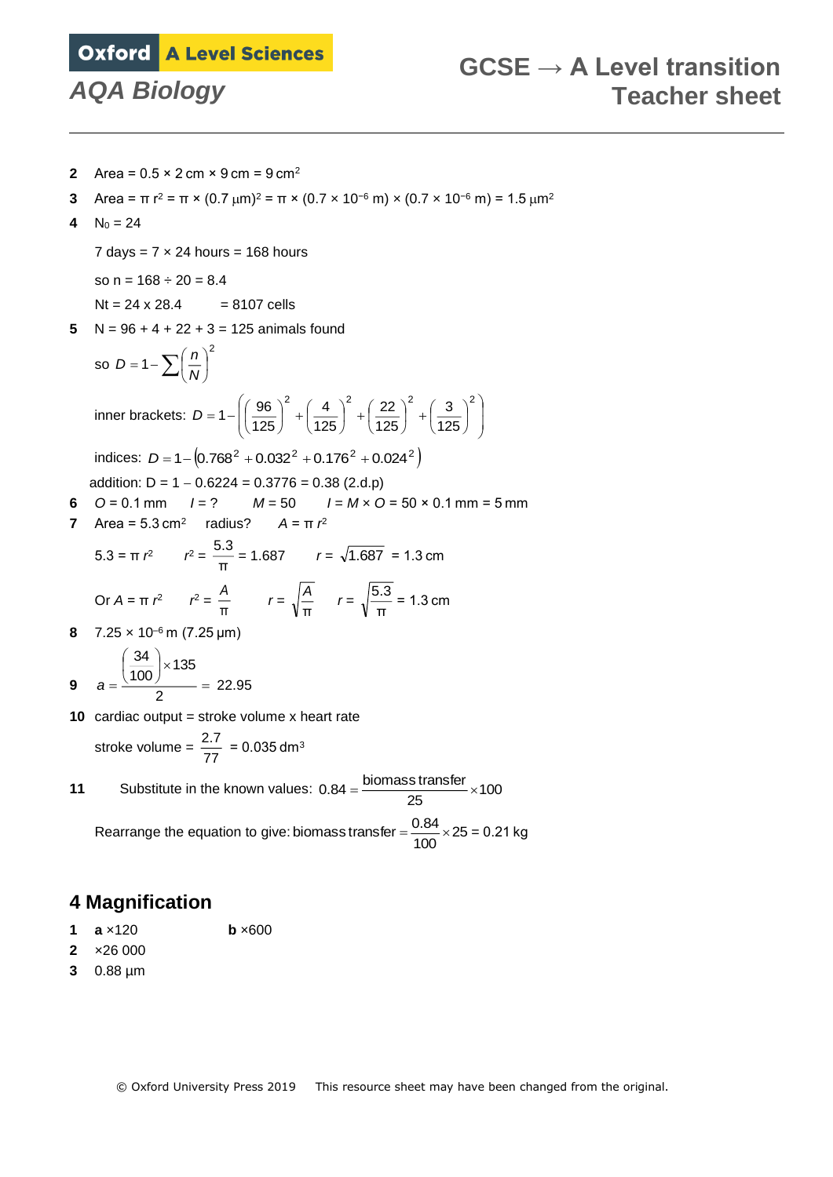## **Oxford A Level Sciences**

- **2** Area =  $0.5 \times 2$  cm  $\times$  9 cm =  $9$  cm<sup>2</sup>
- **3** Area =  $\pi$  r<sup>2</sup> =  $\pi$  × (0.7  $\mu$ m)<sup>2</sup> =  $\pi$  × (0.7 x 10<sup>-6</sup> m) × (0.7 x 10<sup>-6</sup> m) = 1.5  $\mu$ m<sup>2</sup>
- **4**  $N_0 = 24$

7 days =  $7 \times 24$  hours = 168 hours

so  $n = 168 \div 20 = 8.4$ 

 $Nt = 24 \times 28.4 = 8107$  cells

5  $N = 96 + 4 + 22 + 3 = 125$  animals found

so 
$$
D = 1 - \sum \left(\frac{n}{N}\right)^2
$$
  
inner brackets:  $D = 1 - \left(\left(\frac{96}{125}\right)^2 + \left(\frac{4}{125}\right)^2 + \left(\frac{22}{125}\right)^2 + \left(\frac{3}{125}\right)^2\right)$ 

indices:  $D = 1 - (0.768^2 + 0.032^2 + 0.176^2 + 0.024^2)$ addition:  $D = 1 - 0.6224 = 0.3776 = 0.38$  (2.d.p)

$$
u = 1 - 0.0224 = 0.3776 = 0.36 (2.0.0)
$$

**6**  $O = 0.1$  mm  $I = ?$   $M = 50$   $I = M \times O = 50 \times 0.1$  mm = 5 mm **7** Area = 5.3 cm<sup>2</sup> radius? *A* = π  $r^2$ 

$$
5.3 = \pi r^2 \qquad r^2 = \frac{5.3}{\pi} = 1.687 \qquad r = \sqrt{1.687} = 1.3 \text{ cm}
$$
  
Or  $A = \pi r^2 \qquad r^2 = \frac{A}{\pi} \qquad r = \sqrt{\frac{A}{\pi}} \qquad r = \sqrt{\frac{5.3}{\pi}} = 1.3 \text{ cm}$ 

**8** 7.25 × 10–6 m (7.25 µm)

9 
$$
a = \frac{\left(\frac{34}{100}\right) \times 135}{2} = 22.95
$$

**10** cardiac output = stroke volume x heart rate

$$
stroke volume = \frac{2.7}{77} = 0.035 dm3
$$

**11** Substitute in the known values:  $0.84 = \frac{\text{biomass transfer}}{25} \times 100$ 

Rearrange the equation to give: biomass transfer =  $\frac{0.84}{100}$  × 25 = 0.21 kg

## **4 Magnification**

- **1 a** ×120 **b** ×600
- **2** ×26 000
- **3** 0.88 µm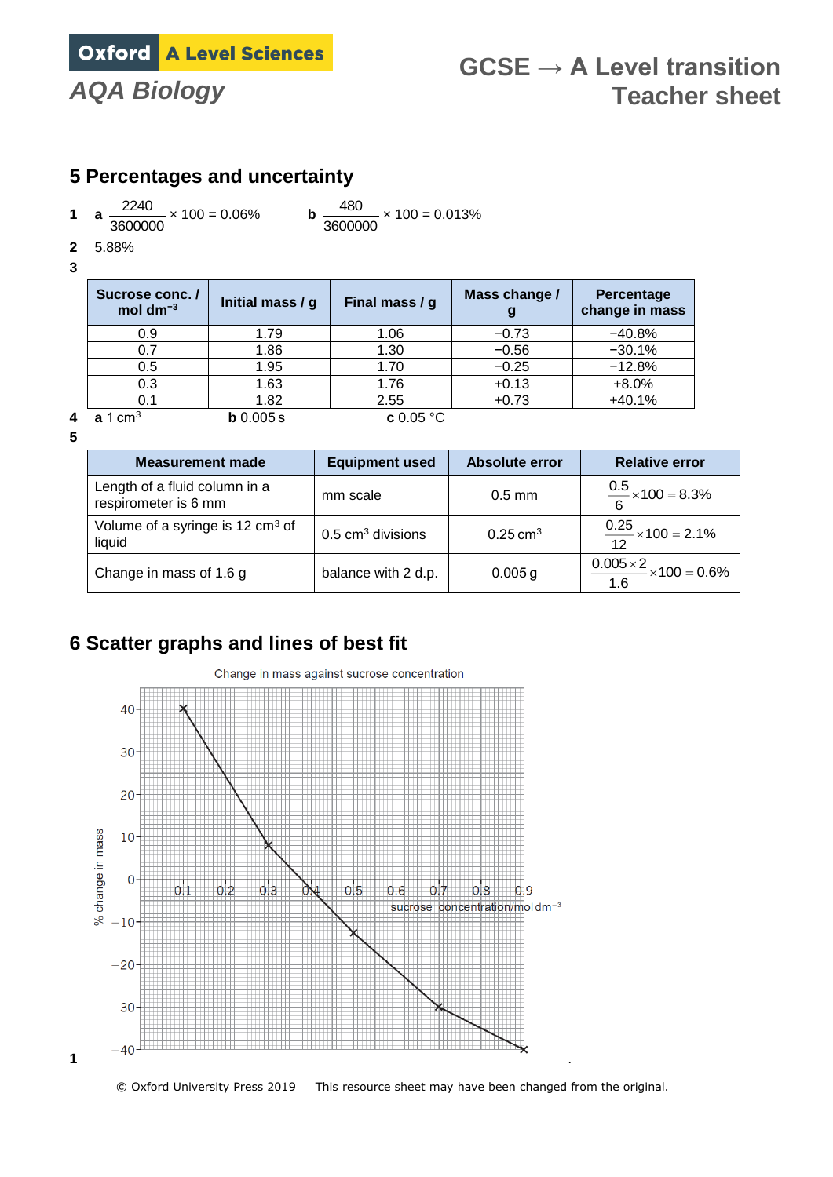

### **5 Percentages and uncertainty**

**1 a**  $\frac{2240}{3600000}$  $\frac{2240}{2240}$  × 100 = 0.06% **b** 

3600000  $\frac{480}{2000}$  × 100 = 0.013%

**2** 5.88%

| Sucrose conc./<br>mol dm <sup>-3</sup> | Initial mass / g | Final mass / g   | Mass change /<br>g | Percentage<br>change in mass |
|----------------------------------------|------------------|------------------|--------------------|------------------------------|
| 0.9                                    | 1.79             | 1.06             | $-0.73$            | $-40.8%$                     |
|                                        | 1.86             | 1.30             | $-0.56$            | $-30.1%$                     |
| 0.5                                    | 1.95             | 1.70             | $-0.25$            | $-12.8%$                     |
| 0.3                                    | 1.63             | 1.76             | $+0.13$            | $+8.0%$                      |
| 0.1                                    | 1.82             | 2.55             | $+0.73$            | $+40.1%$                     |
| 1 $cm3$                                | b 0.005 s        | <b>c</b> 0.05 °C |                    |                              |

**5**

| <b>Measurement made</b>                                | <b>Equipment used</b>        | <b>Absolute error</b> | <b>Relative error</b>                            |
|--------------------------------------------------------|------------------------------|-----------------------|--------------------------------------------------|
| Length of a fluid column in a<br>respirometer is 6 mm  | mm scale                     | $0.5$ mm              | $\frac{0.5}{6}$ × 100 = 8.3%                     |
| Volume of a syringe is 12 cm <sup>3</sup> of<br>liquid | $0.5 \text{ cm}^3$ divisions | $0.25 \text{ cm}^3$   | $\frac{0.25}{12}$ × 100 = 2.1%                   |
| Change in mass of 1.6 g                                | balance with 2 d.p.          | 0.005 g               | $\frac{0.005 \times 2}{0.000 \times 100}$ = 0.6% |

## **6 Scatter graphs and lines of best fit**



© Oxford University Press 2019 This resource sheet may have been changed from the original.